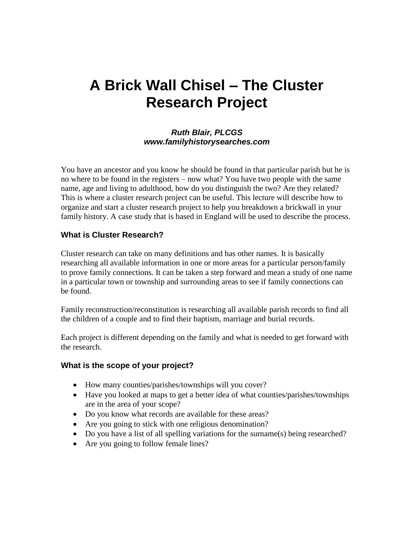# **A Brick Wall Chisel – The Cluster Research Project**

#### *Ruth Blair, PLCGS www.familyhistorysearches.com*

You have an ancestor and you know he should be found in that particular parish but he is no where to be found in the registers – now what? You have two people with the same name, age and living to adulthood, how do you distinguish the two? Are they related? This is where a cluster research project can be useful. This lecture will describe how to organize and start a cluster research project to help you breakdown a brickwall in your family history. A case study that is based in England will be used to describe the process.

## **What is Cluster Research?**

Cluster research can take on many definitions and has other names. It is basically researching all available information in one or more areas for a particular person/family to prove family connections. It can be taken a step forward and mean a study of one name in a particular town or township and surrounding areas to see if family connections can be found.

Family reconstruction/reconstitution is researching all available parish records to find all the children of a couple and to find their baptism, marriage and burial records.

Each project is different depending on the family and what is needed to get forward with the research.

#### **What is the scope of your project?**

- How many counties/parishes/townships will you cover?
- Have you looked at maps to get a better idea of what counties/parishes/townships are in the area of your scope?
- Do you know what records are available for these areas?
- Are you going to stick with one religious denomination?
- Do you have a list of all spelling variations for the surname(s) being researched?
- Are you going to follow female lines?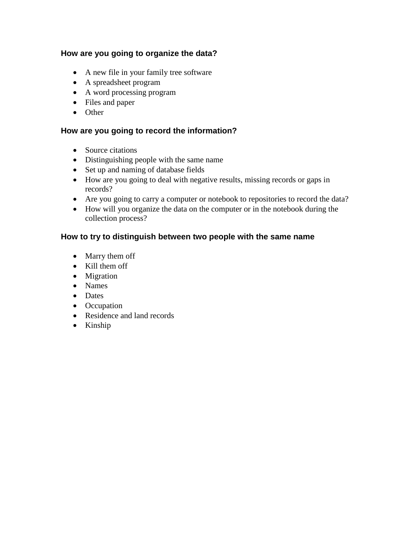## **How are you going to organize the data?**

- A new file in your family tree software
- A spreadsheet program
- A word processing program
- Files and paper
- Other

#### **How are you going to record the information?**

- Source citations
- Distinguishing people with the same name
- Set up and naming of database fields
- How are you going to deal with negative results, missing records or gaps in records?
- Are you going to carry a computer or notebook to repositories to record the data?
- How will you organize the data on the computer or in the notebook during the collection process?

## **How to try to distinguish between two people with the same name**

- Marry them off
- Kill them off
- Migration
- Names
- Dates
- Occupation
- Residence and land records
- Kinship